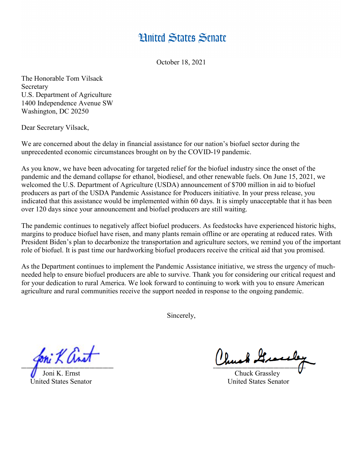## **Hnited States Senate**

October 18, 2021

The Honorable Tom Vilsack Secretary U.S. Department of Agriculture 1400 Independence Avenue SW Washington, DC 20250

Dear Secretary Vilsack,

We are concerned about the delay in financial assistance for our nation's biofuel sector during the unprecedented economic circumstances brought on by the COVID-19 pandemic.

As you know, we have been advocating for targeted relief for the biofuel industry since the onset of the pandemic and the demand collapse for ethanol, biodiesel, and other renewable fuels. On June 15, 2021, we welcomed the U.S. Department of Agriculture (USDA) announcement of \$700 million in aid to biofuel producers as part of the USDA Pandemic Assistance for Producers initiative. In your press release, you indicated that this assistance would be implemented within 60 days. It is simply unacceptable that it has been over 120 days since your announcement and biofuel producers are still waiting.

The pandemic continues to negatively affect biofuel producers. As feedstocks have experienced historic highs, margins to produce biofuel have risen, and many plants remain offline or are operating at reduced rates. With President Biden's plan to decarbonize the transportation and agriculture sectors, we remind you of the important role of biofuel. It is past time our hardworking biofuel producers receive the critical aid that you promised.

As the Department continues to implement the Pandemic Assistance initiative, we stress the urgency of muchneeded help to ensure biofuel producers are able to survive. Thank you for considering our critical request and for your dedication to rural America. We look forward to continuing to work with you to ensure American agriculture and rural communities receive the support needed in response to the ongoing pandemic.

Sincerely,

 $\overline{\phantom{a}}$ 

Chuck Grassley United States Senator United States Senator